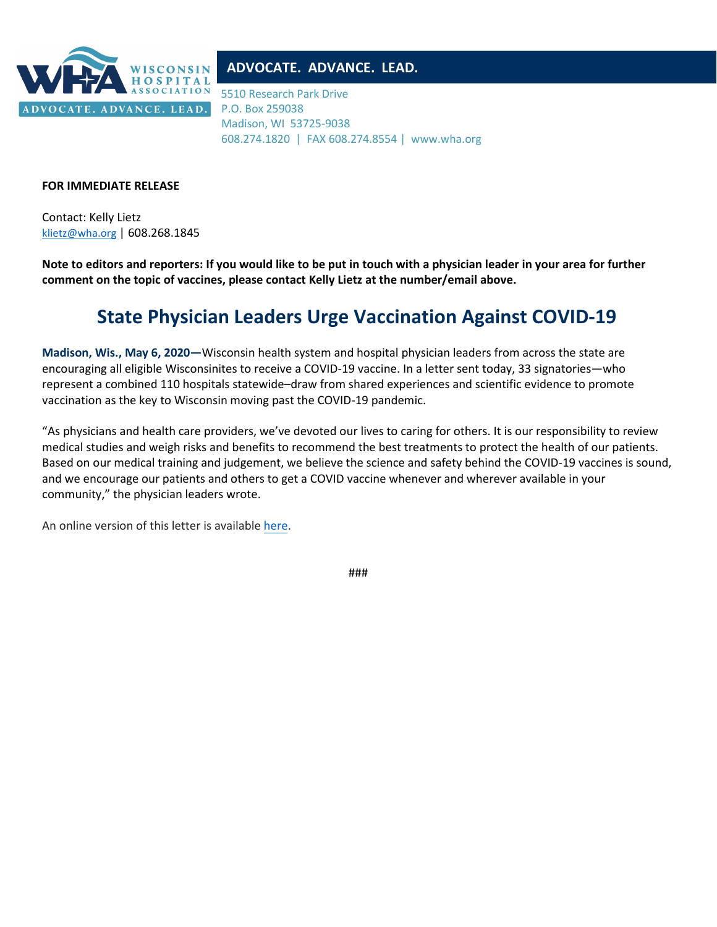

## **ADVOCATE. ADVANCE. LEAD.**

5510 Research Park Drive P.O. Box 259038 Madison, WI 53725-9038 608.274.1820 | FAX 608.274.8554 | www.wha.org

## **FOR IMMEDIATE RELEASE**

Contact: Kelly Lietz [klietz@wha.org](mailto:klietz@wha.org) | 608.268.1845

**Note to editors and reporters: If you would like to be put in touch with a physician leader in your area for further comment on the topic of vaccines, please contact Kelly Lietz at the number/email above.**

## **State Physician Leaders Urge Vaccination Against COVID-19**

**Madison, Wis., May 6, 2020—**Wisconsin health system and hospital physician leaders from across the state are encouraging all eligible Wisconsinites to receive a COVID-19 vaccine. In a letter sent today, 33 signatories—who represent a combined 110 hospitals statewide–draw from shared experiences and scientific evidence to promote vaccination as the key to Wisconsin moving past the COVID-19 pandemic.

"As physicians and health care providers, we've devoted our lives to caring for others. It is our responsibility to review medical studies and weigh risks and benefits to recommend the best treatments to protect the health of our patients. Based on our medical training and judgement, we believe the science and safety behind the COVID-19 vaccines is sound, and we encourage our patients and others to get a COVID vaccine whenever and wherever available in your community," the physician leaders wrote.

An online version of this letter is available [here.](https://www.wha.org/PhysicianVaccinationCOVID)

###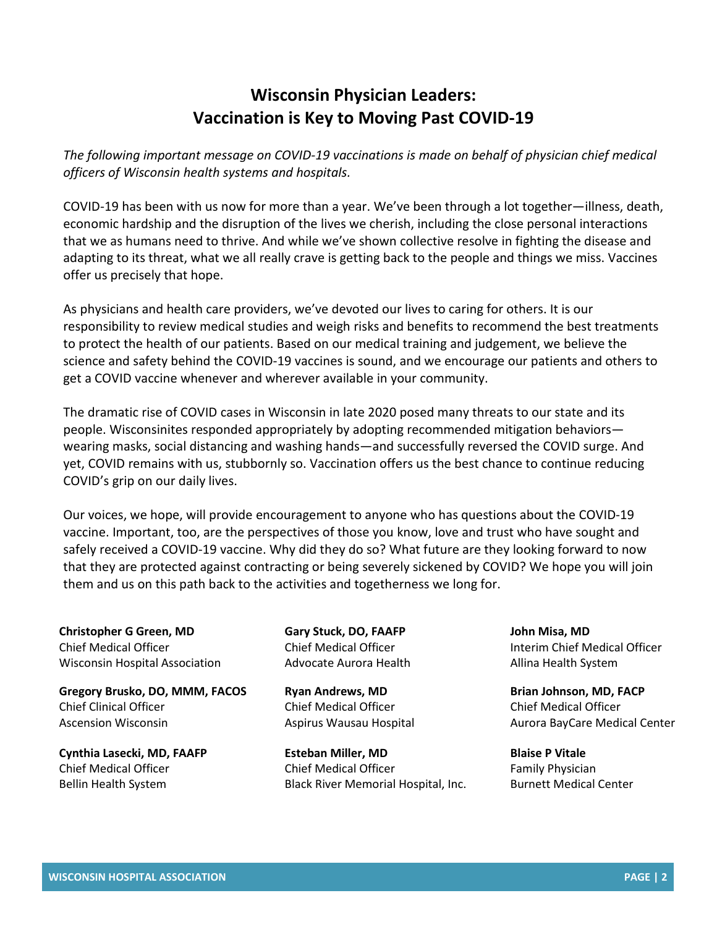## **Wisconsin Physician Leaders: Vaccination is Key to Moving Past COVID-19**

*The following important message on COVID-19 vaccinations is made on behalf of physician chief medical officers of Wisconsin health systems and hospitals.*

COVID-19 has been with us now for more than a year. We've been through a lot together—illness, death, economic hardship and the disruption of the lives we cherish, including the close personal interactions that we as humans need to thrive. And while we've shown collective resolve in fighting the disease and adapting to its threat, what we all really crave is getting back to the people and things we miss. Vaccines offer us precisely that hope.

As physicians and health care providers, we've devoted our lives to caring for others. It is our responsibility to review medical studies and weigh risks and benefits to recommend the best treatments to protect the health of our patients. Based on our medical training and judgement, we believe the science and safety behind the COVID-19 vaccines is sound, and we encourage our patients and others to get a COVID vaccine whenever and wherever available in your community.

The dramatic rise of COVID cases in Wisconsin in late 2020 posed many threats to our state and its people. Wisconsinites responded appropriately by adopting recommended mitigation behaviors wearing masks, social distancing and washing hands—and successfully reversed the COVID surge. And yet, COVID remains with us, stubbornly so. Vaccination offers us the best chance to continue reducing COVID's grip on our daily lives.

Our voices, we hope, will provide encouragement to anyone who has questions about the COVID-19 vaccine. Important, too, are the perspectives of those you know, love and trust who have sought and safely received a COVID-19 vaccine. Why did they do so? What future are they looking forward to now that they are protected against contracting or being severely sickened by COVID? We hope you will join them and us on this path back to the activities and togetherness we long for.

**Christopher G Green, MD** Chief Medical Officer Wisconsin Hospital Association

**Gregory Brusko, DO, MMM, FACOS** Chief Clinical Officer Ascension Wisconsin

**Cynthia Lasecki, MD, FAAFP** Chief Medical Officer Bellin Health System

**Gary Stuck, DO, FAAFP** Chief Medical Officer Advocate Aurora Health

**Ryan Andrews, MD** Chief Medical Officer Aspirus Wausau Hospital

**Esteban Miller, MD** Chief Medical Officer Black River Memorial Hospital, Inc. **John Misa, MD** Interim Chief Medical Officer Allina Health System

**Brian Johnson, MD, FACP** Chief Medical Officer Aurora BayCare Medical Center

**Blaise P Vitale** Family Physician Burnett Medical Center